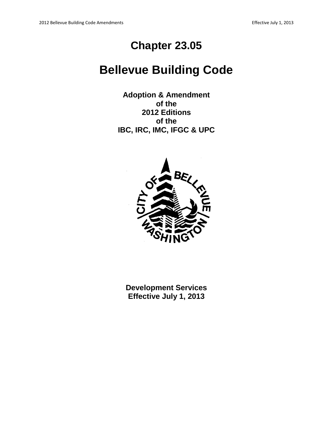# **Chapter 23.05**

# **Bellevue Building Code**

**Adoption & Amendment of the 2012 Editions of the IBC, IRC, IMC, IFGC & UPC**



**Development Services Effective July 1, 2013**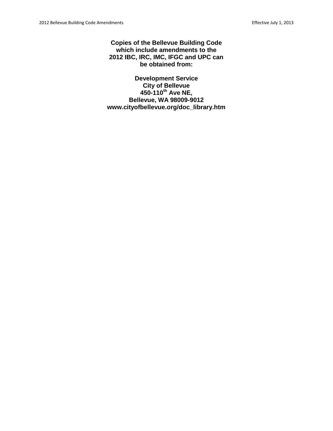**Copies of the Bellevue Building Code which include amendments to the 2012 IBC, IRC, IMC, IFGC and UPC can be obtained from:**

**Development Service City of Bellevue 450-110th Ave NE, Bellevue, WA 98009-9012 www.cityofbellevue.org/doc\_library.htm**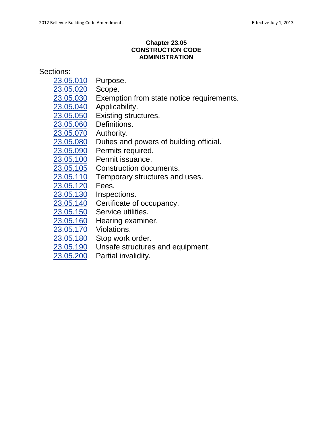# **Chapter 23.05 CONSTRUCTION CODE ADMINISTRATION**

# Sections:

- [23.05.010](http://www.codepublishing.com/wa/bellevue/html/Bellevue23/Bellevue2305.html#23.05.010) Purpose.
- [23.05.020](http://www.codepublishing.com/wa/bellevue/html/Bellevue23/Bellevue2305.html#23.05.020) Scope.
- [23.05.030](http://www.codepublishing.com/wa/bellevue/html/Bellevue23/Bellevue2305.html#23.05.030) Exemption from state notice requirements.
- [23.05.040](http://www.codepublishing.com/wa/bellevue/html/Bellevue23/Bellevue2305.html#23.05.040) Applicability.
- [23.05.050](http://www.codepublishing.com/wa/bellevue/html/Bellevue23/Bellevue2305.html#23.05.050) Existing structures.
- [23.05.060](http://www.codepublishing.com/wa/bellevue/html/Bellevue23/Bellevue2305.html#23.05.060) Definitions.
- [23.05.070](http://www.codepublishing.com/wa/bellevue/html/Bellevue23/Bellevue2305.html#23.05.070) Authority.
- [23.05.080](http://www.codepublishing.com/wa/bellevue/html/Bellevue23/Bellevue2305.html#23.05.080) Duties and powers of building official.
- [23.05.090](http://www.codepublishing.com/wa/bellevue/html/Bellevue23/Bellevue2305.html#23.05.090) Permits required.
- [23.05.100](http://www.codepublishing.com/wa/bellevue/html/Bellevue23/Bellevue2305.html#23.05.100) Permit issuance.
- [23.05.105](http://www.codepublishing.com/wa/bellevue/html/Bellevue23/Bellevue2305.html#23.05.105) Construction documents.
- [23.05.110](http://www.codepublishing.com/wa/bellevue/html/Bellevue23/Bellevue2305.html#23.05.110) Temporary structures and uses.
- [23.05.120](http://www.codepublishing.com/wa/bellevue/html/Bellevue23/Bellevue2305.html#23.05.120) Fees.
- [23.05.130](http://www.codepublishing.com/wa/bellevue/html/Bellevue23/Bellevue2305.html#23.05.130) Inspections.
- [23.05.140](http://www.codepublishing.com/wa/bellevue/html/Bellevue23/Bellevue2305.html#23.05.140) Certificate of occupancy.
- [23.05.150](http://www.codepublishing.com/wa/bellevue/html/Bellevue23/Bellevue2305.html#23.05.150) Service utilities.
- [23.05.160](http://www.codepublishing.com/wa/bellevue/html/Bellevue23/Bellevue2305.html#23.05.160) Hearing examiner.
- [23.05.170](http://www.codepublishing.com/wa/bellevue/html/Bellevue23/Bellevue2305.html#23.05.170) Violations.
- [23.05.180](http://www.codepublishing.com/wa/bellevue/html/Bellevue23/Bellevue2305.html#23.05.180) Stop work order.
- [23.05.190](http://www.codepublishing.com/wa/bellevue/html/Bellevue23/Bellevue2305.html#23.05.190) Unsafe structures and equipment.
- [23.05.200](http://www.codepublishing.com/wa/bellevue/html/Bellevue23/Bellevue2305.html#23.05.200) Partial invalidity.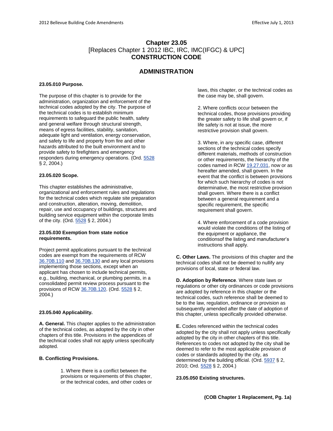# **Chapter 23.05** [Replaces Chapter 1 2012 IBC, IRC, IMC(IFGC) & UPC] **CONSTRUCTION CODE**

# **ADMINISTRATION**

#### **23.05.010 Purpose.**

The purpose of this chapter is to provide for the administration, organization and enforcement of the technical codes adopted by the city. The purpose of the technical codes is to establish minimum requirements to safeguard the public health, safety and general welfare through structural strength, means of egress facilities, stability, sanitation, adequate light and ventilation, energy conservation, and safety to life and property from fire and other hazards attributed to the built environment and to provide safety to firefighters and emergency responders during emergency operations. (Ord. [5528](http://www.bellevuewa.gov/UserFiles/Servers/Server_4779004/file/Ordinances/Ord-5528.pdf) § 2, 2004.)

#### **23.05.020 Scope.**

This chapter establishes the administrative, organizational and enforcement rules and regulations for the technical codes which regulate site preparation and construction, alteration, moving, demolition, repair, use and occupancy of buildings, structures and building service equipment within the corporate limits of the city. (Ord[. 5528](http://www.bellevuewa.gov/UserFiles/Servers/Server_4779004/file/Ordinances/Ord-5528.pdf) § 2, 2004.)

## **23.05.030 Exemption from state notice requirements.**

Project permit applications pursuant to the technical codes are exempt from the requirements of RCW [36.70B.110](http://www.codepublishing.com/cgi-bin/rcw.pl?cite=36.70B.110) and [36.70B.130](http://www.codepublishing.com/cgi-bin/rcw.pl?cite=36.70B.130) and any local provisions implementing those sections, except when an applicant has chosen to include technical permits, e.g., building, mechanical, or plumbing permits, in a consolidated permit review process pursuant to the provisions of RCW [36.70B.120.](http://www.codepublishing.com/cgi-bin/rcw.pl?cite=36.70B.120) (Ord. [5528](http://www.bellevuewa.gov/UserFiles/Servers/Server_4779004/file/Ordinances/Ord-5528.pdf) § 2, 2004.)

#### **23.05.040 Applicability.**

**A. General.** This chapter applies to the administration of the technical codes, as adopted by the city in other chapters of this title. Provisions in the appendices of the technical codes shall not apply unless specifically adopted.

#### **B. Conflicting Provisions.**

1. Where there is a conflict between the provisions or requirements of this chapter, or the technical codes, and other codes or laws, this chapter, or the technical codes as the case may be, shall govern.

2. Where conflicts occur between the technical codes, those provisions providing the greater safety to life shall govern or, if life safety is not at issue, the more restrictive provision shall govern.

3. Where, in any specific case, different sections of the technical codes specify different materials, methods of construction or other requirements, the hierarchy of the codes named in RCW [19.27.031,](http://www.codepublishing.com/cgi-bin/rcw.pl?cite=19.27.031) now or as hereafter amended, shall govern. In the event that the conflict is between provisions for which such hierarchy of codes is not determinative, the most restrictive provision shall govern. Where there is a conflict between a general requirement and a specific requirement, the specific requirement shall govern.

4. Where enforcement of a code provision would violate the conditions of the listing of the equipment or appliance, the conditionsof the listing and manufacturer's instructions shall apply.

**C. Other Laws.** The provisions of this chapter and the technical codes shall not be deemed to nullify any provisions of local, state or federal law.

**D. Adoption by Reference**. Where state laws or regulations or other city ordinances or code provisions are adopted by reference in this chapter or the technical codes, such reference shall be deemed to be to the law, regulation, ordinance or provision as subsequently amended after the date of adoption of this chapter, unless specifically provided otherwise.

**E.** Codes referenced within the technical codes adopted by the city shall not apply unless specifically adopted by the city in other chapters of this title. References to codes not adopted by the city shall be deemed to refer to the most applicable provision of codes or standards adopted by the city, as determined by the building official. (Ord[. 5937](http://www.bellevuewa.gov/UserFiles/Servers/Server_4779004/file/Ordinances/Ord-5937.pdf) § 2, 2010; Ord. [5528](http://www.bellevuewa.gov/UserFiles/Servers/Server_4779004/file/Ordinances/Ord-5528.pdf) § 2, 2004.)

#### **23.05.050 Existing structures.**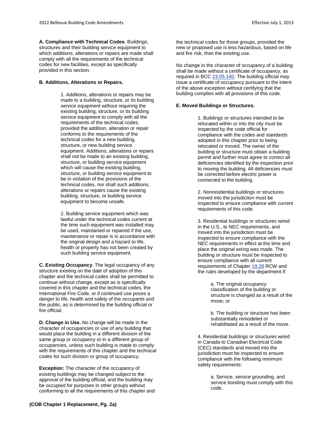**A. Compliance with Technical Codes**. Buildings, structures and their building service equipment to which additions, alterations or repairs are made shall comply with all the requirements of the technical codes for new facilities, except as specifically provided in this section.

# **B. Additions, Alterations or Repairs.**

1. Additions, alterations or repairs may be made to a building, structure, or its building service equipment without requiring the existing building, structure, or its building service equipment to comply with all the requirements of the technical codes, provided the addition, alteration or repair conforms to the requirements of the technical codes for a new building, structure, or new building service equipment. Additions, alterations or repairs shall not be made to an existing building, structure, or building service equipment which will cause the existing building, structure, or building service equipment to be in violation of the provisions of the technical codes, nor shall such additions, alterations or repairs cause the existing building, structure, or building service equipment to become unsafe.

2. Building service equipment which was lawful under the technical codes current at the time such equipment was installed may be used, maintained or repaired if the use, maintenance or repair is in accordance with the original design and a hazard to life, health or property has not been created by such building service equipment.

**C. Existing Occupancy**. The legal occupancy of any structure existing on the date of adoption of this chapter and the technical codes shall be permitted to continue without change, except as is specifically covered in this chapter and the technical codes, the International Fire Code, or if continued use poses a danger to life, health and safety of the occupants and the public, as is determined by the building official or fire official.

**D. Change in Use.** No change will be made in the character of occupancies or use of any building that would place the building in a different division of the same group or occupancy or in a different group of occupancies, unless such building is made to comply with the requirements of this chapter and the technical codes for such division or group of occupancy.

**Exception:** The character of the occupancy of existing buildings may be changed subject to the approval of the building official, and the building may be occupied for purposes in other groups without conforming to all the requirements of this chapter and the technical codes for those groups, provided the new or proposed use is less hazardous, based on life and fire risk, than the existing use.

No change in the character of occupancy of a building shall be made without a certificate of occupancy, as required in BC[C 23.05.140.](http://www.codepublishing.com/wa/bellevue/html/Bellevue23/Bellevue2305.html#23.05.140) The building official may issue a certificate of occupancy pursuant to the intent of the above exception without certifying that the building complies with all provisions of this code.

# **E. Moved Buildings or Structures.**

1. Buildings or structures intended to be relocated within or into the city must be inspected by the code official for compliance with the codes and standards adopted in this chapter prior to being relocated or moved. The owner of the building or structure must obtain a building permit and further must agree to correct all deficiencies identified by the inspection prior to moving the building. All deficiencies must be corrected before electric power is connected to the building.

2. Nonresidential buildings or structures moved into the jurisdiction must be inspected to ensure compliance with current requirements of this code.

3. Residential buildings or structures wired in the U.S., to NEC requirements, and moved into the jurisdiction must be inspected to ensure compliance with the NEC requirements in effect at the time and place the original wiring was made. The building or structure must be inspected to ensure compliance with all current requirements of Chapter [19.28](http://www.codepublishing.com/cgi-bin/rcw.pl?cite=19.28) RCW and the rules developed by the department if:

> a. The original occupancy classification of the building or structure is changed as a result of the move; or

b. The building or structure has been substantially remodeled or rehabilitated as a result of the move.

4. Residential buildings or structures wired in Canada to Canadian Electrical Code (CEC) standards and moved into the jurisdiction must be inspected to ensure compliance with the following minimum safety requirements:

> a. Service, service grounding, and service bonding must comply with this code.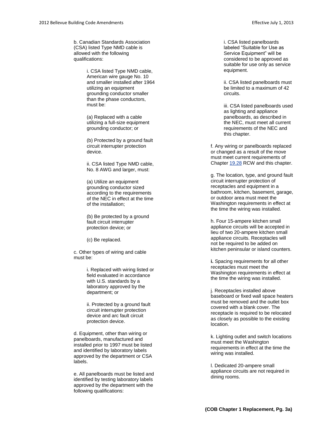b. Canadian Standards Association (CSA) listed Type NMD cable is allowed with the following qualifications:

> i. CSA listed Type NMD cable, American wire gauge No. 10 and smaller installed after 1964 utilizing an equipment grounding conductor smaller than the phase conductors, must be:

(a) Replaced with a cable utilizing a full -size equipment grounding conductor; or

(b) Protected by a ground fault circuit interrupter protection device.

ii. CSA listed Type NMD cable, No. 8 AWG and larger, must:

(a) Utilize an equipment grounding conductor sized according to the requirements of the NEC in effect at the time of the installation;

(b) Be protected by a ground fault circuit interrupter protection device; or

(c) Be replaced.

c. Other types of wiring and cable must be:

> i. Replaced with wiring listed or field evaluated in accordance with U.S. standards by a laboratory approved by the department; or

ii. Protected by a ground fault circuit interrupter protection device and arc fault circuit protection device.

d. Equipment, other than wiring or panelboards, manufactured and installed prior to 1997 must be listed and identified by laboratory labels approved by the department or CSA labels.

e. All panelboards must be listed and identified by testing laboratory labels approved by the department with the following qualifications:

i. CSA listed panelboards labeled "Suitable for Use as Service Equipment" will be considered to be approved as suitable for use only as service equipment.

ii. CSA listed panelboards must be limited to a maximum of 42 circuits.

iii. CSA listed panelboards used as lighting and appliance panelboards, as described in the NEC, must meet all current requirements of the NEC and this chapter.

f. Any wiring or panelboards replaced or changed as a result of the move must meet current requirements of Chapter [19.28](http://www.codepublishing.com/cgi-bin/rcw.pl?cite=19.28) RCW and this chapter.

g. The location, type, and ground fault circuit interrupter protection of receptacles and equipment in a bathroom, kitchen, basement, garage, or outdoor area must meet the Washington requirements in effect at the time the wiring was installed.

h. Four 15 -ampere kitchen small appliance circuits will be accepted in lieu of two 20 -ampere kitchen small appliance circuits. Receptacles will not be required to be added on kitchen peninsular or island counters.

**i.** Spacing requirements for all other receptacles must meet the Washington requirements in effect at the time the wiring was installed.

j. Receptacles installed above baseboard or fixed wall space heaters must be removed and the outlet box covered with a blank cover. The receptacle is required to be relocated as closely as possible to the existing location.

k. Lighting outlet and switch locations must meet the Washington requirements in effect at the time the wiring was installed.

l. Dedicated 20 -ampere small appliance circuits are not required in dining rooms.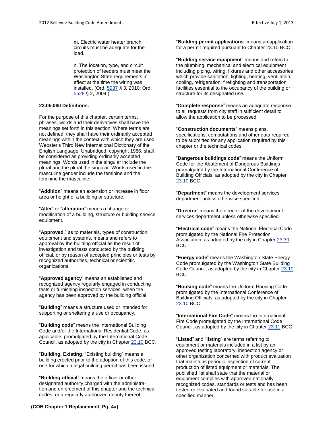m. Electric water heater branch circuits must be adequate for the load.

n. The location, type, and circuit protection of feeders must meet the Washington State requirements in effect at the time the wiring was installed. (Ord[. 5937](http://www.bellevuewa.gov/UserFiles/Servers/Server_4779004/file/Ordinances/Ord-5937.pdf) § 3, 2010; Ord. [5528](http://www.bellevuewa.gov/UserFiles/Servers/Server_4779004/file/Ordinances/Ord-5528.pdf) § 2, 2004.)

## **23.05.060 Definitions.**

For the purpose of this chapter, certain terms, phrases, words and their derivatives shall have the meanings set forth in this section. Where terms are not defined, they shall have their ordinarily accepted meanings within the context with which they are used. Webster's Third New International Dictionary of the English Language, Unabridged, copyright 1986, shall be considered as providing ordinarily accepted meanings. Words used in the singular include the plural and the plural the singular. Words used in the masculine gender include the feminine and the feminine the masculine.

"**Addition**" means an extension or increase in floor area or height of a building or structure.

"**Alter**" or "**alteration**" means a change or modification of a building, structure or building service equipment.

"**Approved**," as to materials, types of construction, equipment and systems, means and refers to approval by the building official as the result of investigation and tests conducted by the building official, or by reason of accepted principles or tests by recognized authorities, technical or scientific organizations.

"**Approved agency**" means an established and recognized agency regularly engaged in conducting tests or furnishing inspection services, when the agency has been approved by the building official.

"**Building**" means a structure used or intended for supporting or sheltering a use or occupancy.

"**Building code**" means the International Building Code and/or the International Residential Code, as applicable, promulgated by the International Code Council, as adopted by the city in Chapter [23.10](http://www.codepublishing.com/wa/bellevue/html/Bellevue23/Bellevue2310.html#23.10) BCC.

"**Building, Existing**. "Existing building" means a building erected prior to the adoption of this code, or one for which a legal building permit has been issued.

"**Building official**" means the officer or other designated authority charged with the administration and enforcement of this chapter and the technical codes, or a regularly authorized deputy thereof.

"**Building permit applications**" means an application for a permit required pursuant to Chapte[r 23.10](http://www.codepublishing.com/wa/bellevue/html/Bellevue23/Bellevue2310.html#23.10) BCC.

"**Building service equipment**" means and refers to the plumbing, mechanical and electrical equipment including piping, wiring, fixtures and other accessories which provide sanitation, lighting, heating, ventilation, cooling, refrigeration, firefighting and transportation facilities essential to the occupancy of the building or structure for its designated use.

"**Complete response**" means an adequate response to all requests from city staff in sufficient detail to allow the application to be processed.

"**Construction documents**" means plans, specifications, computations and other data required to be submitted for any application required by this chapter or the technical codes.

"**Dangerous buildings code**" means the Uniform Code for the Abatement of Dangerous Buildings promulgated by the International Conference of Building Officials, as adopted by the city in Chapter [23.10](http://www.codepublishing.com/wa/bellevue/html/Bellevue23/Bellevue2310.html#23.10) BCC.

"**Department**" means the development services department unless otherwise specified.

"**Director**" means the director of the development services department unless otherwise specified.

"**Electrical code**" means the National Electrical Code promulgated by the National Fire Protection Association, as adopted by the city in Chapter [23.30](http://www.codepublishing.com/wa/bellevue/html/Bellevue23/Bellevue2330.html#23.30) BCC.

"**Energy code**" means the Washington State Energy Code promulgated by the Washington State Building Code Council, as adopted by the city in Chapter [23.10](http://www.codepublishing.com/wa/bellevue/html/Bellevue23/Bellevue2310.html#23.10) BCC.

"**Housing code**" means the Uniform Housing Code promulgated by the International Conference of Building Officials, as adopted by the city in Chapter [23.10](http://www.codepublishing.com/wa/bellevue/html/Bellevue23/Bellevue2310.html#23.10) BCC.

"**International Fire Code**" means the International Fire Code promulgated by the International Code Council, as adopted by the city in Chapter [23.11](http://www.codepublishing.com/wa/bellevue/html/Bellevue23/Bellevue2311.html#23.11) BCC.

"**Listed**" and "**listing**" are terms referring to equipment or materials included in a list by an approved testing laboratory, inspection agency or other organization concerned with product evaluation that maintains periodic inspection of current production of listed equipment or materials. The published list shall state that the material or equipment complies with approved nationally recognized codes, standards or tests and has been tested or evaluated and found suitable for use in a specified manner.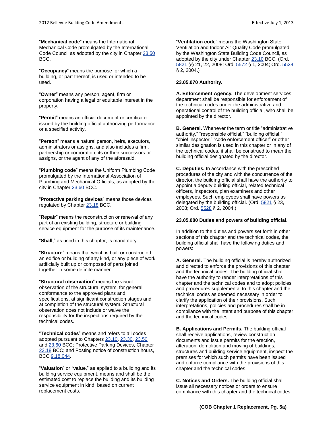"**Mechanical code**" means the International Mechanical Code promulgated by the International Code Council as adopted by the city in Chapte[r 23.50](http://www.codepublishing.com/wa/bellevue/html/Bellevue23/Bellevue2350.html#23.50) BCC.

"**Occupancy**" means the purpose for which a building, or part thereof, is used or intended to be used.

"**Owner**" means any person, agent, firm or corporation having a legal or equitable interest in the property.

"**Permit**" means an official document or certificate issued by the building official authorizing performance or a specified activity.

"**Person**" means a natural person, heirs, executors, administrators or assigns, and also includes a firm, partnership or corporation, its or their successors or assigns, or the agent of any of the aforesaid.

"**Plumbing code**" means the Uniform Plumbing Code promulgated by the International Association of Plumbing and Mechanical Officials, as adopted by the city in Chapter [23.60](http://www.codepublishing.com/wa/bellevue/html/Bellevue23/Bellevue2360.html#23.60) BCC.

"**Protective parking devices**" means those devices regulated by Chapte[r 23.18](http://www.codepublishing.com/wa/bellevue/html/Bellevue23/Bellevue2318.html#23.18) BCC.

"**Repair**" means the reconstruction or renewal of any part of an existing building, structure or building service equipment for the purpose of its maintenance.

"**Shall**," as used in this chapter, is mandatory.

"**Structure**" means that which is built or constructed, an edifice or building of any kind, or any piece of work artificially built up or composed of parts joined together in some definite manner.

"**Structural observation**" means the visual observation of the structural system, for general conformance to the approved plans and specifications, at significant construction stages and at completion of the structural system. Structural observation does not include or waive the responsibility for the inspections required by the technical codes.

"**Technical codes**" means and refers to all codes adopted pursuant to Chapter[s 23.10,](http://www.codepublishing.com/wa/bellevue/html/Bellevue23/Bellevue2310.html#23.10) [23.30,](http://www.codepublishing.com/wa/bellevue/html/Bellevue23/Bellevue2330.html#23.30) [23.50](http://www.codepublishing.com/wa/bellevue/html/Bellevue23/Bellevue2350.html#23.50) an[d 23.60](http://www.codepublishing.com/wa/bellevue/html/Bellevue23/Bellevue2360.html#23.60) BCC; Protective Parking Devices, Chapter [23.18](http://www.codepublishing.com/wa/bellevue/html/Bellevue23/Bellevue2318.html#23.18) BCC; and Posting notice of construction hours, BC[C 9.18.044.](http://www.codepublishing.com/wa/bellevue/html/Bellevue09/Bellevue0918.html#9.18.044)

"**Valuation**" or "**value**," as applied to a building and its building service equipment, means and shall be the estimated cost to replace the building and its building service equipment in kind, based on current replacement costs.

"**Ventilation code**" means the Washington State Ventilation and Indoor Air Quality Code promulgated by the Washington State Building Code Council, as adopted by the city under Chapter [23.10](http://www.codepublishing.com/wa/bellevue/html/Bellevue23/Bellevue2310.html#23.10) BCC. (Ord. [5821](http://www.bellevuewa.gov/UserFiles/Servers/Server_4779004/file/Ordinances/Ord-5821.pdf) §§ 21, 22, 2008; Ord. [5572](http://www.bellevuewa.gov/UserFiles/Servers/Server_4779004/file/Ordinances/Ord-5572.pdf) § 1, 2004; Ord. [5528](http://www.bellevuewa.gov/UserFiles/Servers/Server_4779004/file/Ordinances/Ord-5528.pdf) § 2, 2004.)

# **23.05.070 Authority.**

**A. Enforcement Agency.** The development services department shall be responsible for enforcement of the technical codes under the administrative and operational control of the building official, who shall be appointed by the director.

**B. General.** Whenever the term or title "administrative authority," "responsible official," "building official," "chief inspector," "code enforcement officer" or other similar designation is used in this chapter or in any of the technical codes, it shall be construed to mean the building official designated by the director.

**C. Deputies.** In accordance with the prescribed procedures of the city and with the concurrence of the director, the building official shall have the authority to appoint a deputy building official, related technical officers, inspectors, plan examiners and other employees. Such employees shall have powers as delegated by the building official. (Ord. [5821](http://www.bellevuewa.gov/UserFiles/Servers/Server_4779004/file/Ordinances/Ord-5821.pdf) § 23, 2008; Ord. [5528](http://www.bellevuewa.gov/UserFiles/Servers/Server_4779004/file/Ordinances/Ord-5528.pdf) § 2, 2004.)

# **23.05.080 Duties and powers of building official.**

In addition to the duties and powers set forth in other sections of this chapter and the technical codes, the building official shall have the following duties and powers:

**A. General.** The building official is hereby authorized and directed to enforce the provisions of this chapter and the technical codes. The building official shall have the authority to render interpretations of this chapter and the technical codes and to adopt policies and procedures supplemental to this chapter and the technical codes as deemed necessary in order to clarify the application of their provisions. Such interpretations, policies and procedures shall be in compliance with the intent and purpose of this chapter and the technical codes.

**B. Applications and Permits.** The building official shall receive applications, review construction documents and issue permits for the erection, alteration, demolition and moving of buildings, structures and building service equipment, inspect the premises for which such permits have been issued and enforce compliance with the provisions of this chapter and the technical codes.

**C. Notices and Orders.** The building official shall issue all necessary notices or orders to ensure compliance with this chapter and the technical codes.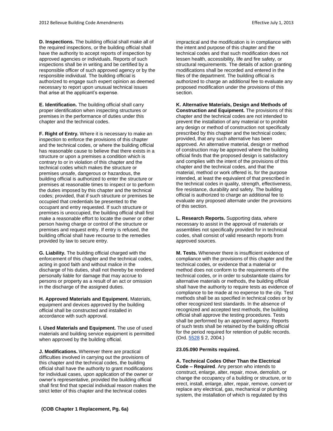**D. Inspections.** The building official shall make all of the required inspections, or the building official shall have the authority to accept reports of inspection by approved agencies or individuals. Reports of such inspections shall be in writing and be certified by a responsible officer of such approved agency or by the responsible individual. The building official is authorized to engage such expert opinion as deemed necessary to report upon unusual technical issues that arise at the applicant's expense.

**E. Identification.** The building official shall carry proper identification when inspecting structures or premises in the performance of duties under this chapter and the technical codes.

**F. Right of Entry.** Where it is necessary to make an inspection to enforce the provisions of this chapter and the technical codes, or where the building official has reasonable cause to believe that there exists in a structure or upon a premises a condition which is contrary to or in violation of this chapter and the technical codes which makes the structure or premises unsafe, dangerous or hazardous, the building official is authorized to enter the structure or premises at reasonable times to inspect or to perform the duties imposed by this chapter and the technical codes; provided, that if such structure or premises be occupied that credentials be presented to the occupant and entry requested. If such structure or premises is unoccupied, the building official shall first make a reasonable effort to locate the owner or other person having charge or control of the structure or premises and request entry. If entry is refused, the building official shall have recourse to the remedies provided by law to secure entry.

**G. Liability.** The building official charged with the enforcement of this chapter and the technical codes, acting in good faith and without malice in the discharge of his duties, shall not thereby be rendered personally liable for damage that may accrue to persons or property as a result of an act or omission in the discharge of the assigned duties.

**H. Approved Materials and Equipment.** Materials, equipment and devices approved by the building official shall be constructed and installed in accordance with such approval.

**I. Used Materials and Equipment.** The use of used materials and building service equipment is permitted when approved by the building official.

**J. Modifications.** Wherever there are practical difficulties involved in carrying out the provisions of this chapter and the technical codes, the building official shall have the authority to grant modifications for individual cases, upon application of the owner or owner's representative, provided the building official shall first find that special individual reason makes the strict letter of this chapter and the technical codes

impractical and the modification is in compliance with the intent and purpose of this chapter and the technical codes and that such modification does not lessen health, accessibility, life and fire safety, or structural requirements. The details of action granting modifications shall be recorded and entered in the files of the department. The building official is authorized to charge an additional fee to evaluate any proposed modification under the provisions of this section.

**K. Alternative Materials, Design and Methods of Construction and Equipment.** The provisions of this chapter and the technical codes are not intended to prevent the installation of any material or to prohibit any design or method of construction not specifically prescribed by this chapter and the technical codes; provided, that any such alternative has been approved. An alternative material, design or method of construction may be approved where the building official finds that the proposed design is satisfactory and complies with the intent of the provisions of this chapter and the technical codes, and that the material, method or work offered is, for the purpose intended, at least the equivalent of that prescribed in the technical codes in quality, strength, effectiveness, fire resistance, durability and safety. The building official is authorized to charge an additional fee to evaluate any proposed alternate under the provisions of this section.

**L. Research Reports.** Supporting data, where necessary to assist in the approval of materials or assemblies not specifically provided for in technical codes, shall consist of valid research reports from approved sources.

**M. Tests.** Whenever there is insufficient evidence of compliance with the provisions of this chapter and the technical codes, or evidence that a material or method does not conform to the requirements of the technical codes, or in order to substantiate claims for alternative materials or methods, the building official shall have the authority to require tests as evidence of compliance to be made at no expense to the city. Test methods shall be as specified in technical codes or by other recognized test standards. In the absence of recognized and accepted test methods, the building official shall approve the testing procedures. Tests shall be performed by an approved agency. Reports of such tests shall be retained by the building official for the period required for retention of public records. (Ord. [5528](http://www.bellevuewa.gov/UserFiles/Servers/Server_4779004/file/Ordinances/Ord-5528.pdf) § 2, 2004.)

# **23.05.090 Permits required.**

**A. Technical Codes Other Than the Electrical Code – Required**. Any person who intends to construct, enlarge, alter, repair, move, demolish, or change the occupancy of a building or structure, or to erect, install, enlarge, alter, repair, remove, convert or replace any electrical, gas, mechanical or plumbing system, the installation of which is regulated by this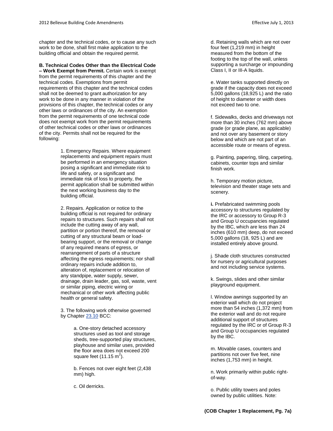chapter and the technical codes, or to cause any such work to be done, shall first make application to the building official and obtain the required permit.

**B. Technical Codes Other than the Electrical Code – Work Exempt from Permit.** Certain work is exempt from the permit requirements of this chapter and the technical codes. Exemptions from permit requirements of this chapter and the technical codes shall not be deemed to grant authorization for any work to be done in any manner in violation of the provisions of this chapter, the technical codes or any other laws or ordinances of the city. An exemption from the permit requirements of one technical code does not exempt work from the permit requirements of other technical codes or other laws or ordinances of the city. Permits shall not be required for the following:

> 1. Emergency Repairs. Where equipment replacements and equipment repairs must be performed in an emergency situation posing a significant and immediate risk to life and safety, or a significant and immediate risk of loss to property, the permit application shall be submitted within the next working business day to the building official.

2. Repairs. Application or notice to the building official is not required for ordinary repairs to structures. Such repairs shall not include the cutting away of any wall, partition or portion thereof, the removal or cutting of any structural beam or loadbearing support, or the removal or change of any required means of egress, or rearrangement of parts of a structure affecting the egress requirements; nor shall ordinary repairs include addition to, alteration of, replacement or relocation of any standpipe, water supply, sewer, drainage, drain leader, gas, soil, waste, vent or similar piping, electric wiring or mechanical or other work affecting public health or general safety.

3. The following work otherwise governed by Chapter [23.10](http://www.codepublishing.com/wa/bellevue/html/Bellevue23/Bellevue2310.html#23.10) BCC:

> a. One-story detached accessory structures used as tool and storage sheds, tree-supported play structures, playhouse and similar uses, provided the floor area does not exceed 200 square feet (11.15 m<sup>2</sup>).

b. Fences not over eight feet (2,438 mm) high.

c. Oil derricks.

d. Retaining walls which are not over four feet (1,219 mm) in height measured from the bottom of the footing to the top of the wall, unless supporting a surcharge or impounding

e. Water tanks supported directly on grade if the capacity does not exceed 5,000 gallons (18,925 L) and the ratio of height to diameter or width does not exceed two to one.

Class I, II or III-A liquids.

f. Sidewalks, decks and driveways not more than 30 inches (762 mm) above grade (or grade plane, as applicable) and not over any basement or story below and which are not part of an accessible route or means of egress.

g. Painting, papering, tiling, carpeting, cabinets, counter tops and similar finish work.

h. Temporary motion picture, television and theater stage sets and scenery.

**i.** Prefabricated swimming pools accessory to structures regulated by the IRC or accessory to Group R-3 and Group U occupancies regulated by the IBC, which are less than 24 inches (610 mm) deep, do not exceed 5,000 gallons (18, 925 L) and are installed entirely above ground.

j. Shade cloth structures constructed for nursery or agricultural purposes and not including service systems.

k. Swings, slides and other similar playground equipment.

l. Window awnings supported by an exterior wall which do not project more than 54 inches (1,372 mm) from the exterior wall and do not require additional support of structures regulated by the IRC or of Group R-3 and Group U occupancies regulated by the IBC.

m. Movable cases, counters and partitions not over five feet, nine inches (1,753 mm) in height.

n. Work primarily within public rightof-way.

o. Public utility towers and poles owned by public utilities. Note: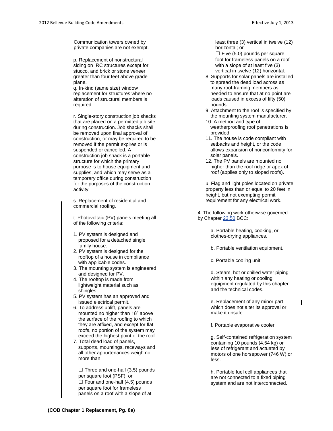Communication towers owned by private companies are not exempt.

p. Replacement of nonstructural siding on IRC structures except for stucco, and brick or stone veneer greater than four feet above grade plane.

q. In-kind (same size) window replacement for structures where no alteration of structural members is required.

r. Single-story construction job shacks that are placed on a permitted job site during construction. Job shacks shall be removed upon final approval of construction, or may be required to be removed if the permit expires or is suspended or cancelled. A construction job shack is a portable structure for which the primary purpose is to house equipment and supplies, and which may serve as a temporary office during construction for the purposes of the construction activity.

s. Replacement of residential and commercial roofing.

t. Photovoltaic (PV) panels meeting all of the following criteria:

- 1. PV system is designed and proposed for a detached single family house.
- 2. PV system is designed for the rooftop of a house in compliance with applicable codes.
- 3. The mounting system is engineered and designed for PV.
- 4. The rooftop is made from lightweight material such as shingles.
- 5. PV system has an approved and issued electrical permit.
- 6. To address uplift, panels are mounted no higher than 18" above the surface of the roofing to which they are affixed, and except for flat roofs, no portion of the system may exceed the highest point of the roof.
- 7. Total dead load of panels, supports, mountings, raceways and all other appurtenances weigh no more than:

 $\Box$  Three and one-half (3.5) pounds per square foot (PSF); or  $\Box$  Four and one-half (4.5) pounds per square foot for frameless panels on a roof with a slope of at

least three (3) vertical in twelve (12) horizontal; or

 $\Box$  Five (5.0) pounds per square foot for frameless panels on a roof with a slope of at least five (3) vertical in twelve (12) horizontal.

- 8. Supports for solar panels are installed to spread the dead load across as many roof-framing members as needed to ensure that at no point are loads caused in excess of fifty (50) pounds.
- 9. Attachment to the roof is specified by the mounting system manufacturer.
- 10. A method and type of weatherproofing roof penetrations is provided
- 11. The house is code compliant with setbacks and height, or the code allows expansion of nonconformity for solar panels.
- 12. The PV panels are mounted no higher than the roof ridge or apex of roof (applies only to sloped roofs).

u. Flag and light poles located on private property less than or equal to 20 feet in height, but not exempting permit requirement for any electrical work.

4. The following work otherwise governed by Chapter [23.50](http://www.codepublishing.com/wa/bellevue/html/Bellevue23/Bellevue2350.html#23.50) BCC:

> a. Portable heating, cooking, or clothes-drying appliances.

- b. Portable ventilation equipment.
- c. Portable cooling unit.

d. Steam, hot or chilled water piping within any heating or cooling equipment regulated by this chapter and the technical codes.

e. Replacement of any minor part which does not alter its approval or make it unsafe.

I

f. Portable evaporative cooler.

g. Self-contained refrigeration system containing 10 pounds (4.54 kg) or less of refrigerant and actuated by motors of one horsepower (746 W) or less.

h. Portable fuel cell appliances that are not connected to a fixed piping system and are not interconnected.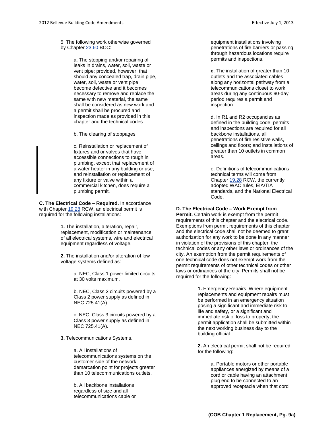5. The following work otherwise governed by Chapter [23.60](http://www.codepublishing.com/wa/bellevue/html/Bellevue23/Bellevue2360.html#23.60) BCC:

> a. The stopping and/or repairing of leaks in drains, water, soil, waste or vent pipe; provided, however, that should any concealed trap, drain pipe, water, soil, waste or vent pipe become defective and it becomes necessary to remove and replace the same with new material, the same shall be considered as new work and a permit shall be procured and inspection made as provided in this chapter and the technical codes.

b. The clearing of stoppages.

c. Reinstallation or replacement of fixtures and or valves that have accessible connections to rough in plumbing, except that replacement of a water heater in any building or use, and reinstallation or replacement of any fixture or valve within a commercial kitchen, does require a plumbing permit.

**C. The Electrical Code – Required.** In accordance with Chapter [19.28](http://www.codepublishing.com/cgi-bin/rcw.pl?cite=19.28) RCW, an electrical permit is required for the following installations:

> **1.** The installation, alteration, repair, replacement, modification or maintenance of all electrical systems, wire and electrical equipment regardless of voltage.

**2.** The installation and/or alteration of low voltage systems defined as:

> a. NEC, Class 1 power limited circuits at 30 volts maximum.

b. NEC, Class 2 circuits powered by a Class 2 power supply as defined in NEC 725.41(A).

c. NEC, Class 3 circuits powered by a Class 3 power supply as defined in NEC 725.41(A).

**3.** Telecommunications Systems.

a. All installations of telecommunications systems on the customer side of the network demarcation point for projects greater than 10 telecommunications outlets.

b. All backbone installations regardless of size and all telecommunications cable or equipment installations involving penetrations of fire barriers or passing through hazardous locations require permits and inspections.

**c**. The installation of greater than 10 outlets and the associated cables along any horizontal pathway from a telecommunications closet to work areas during any continuous 90-day period requires a permit and inspection.

d. In R1 and R2 occupancies as defined in the building code, permits and inspections are required for all backbone installations, all penetrations of fire resistive walls, ceilings and floors; and installations of greater than 10 outlets in common areas.

e. Definitions of telecommunications technical terms will come from Chapter [19.28](http://www.codepublishing.com/cgi-bin/rcw.pl?cite=19.28) RCW, the currently adopted WAC rules, EIA/TIA standards, and the National Electrical Code.

# **D. The Electrical Code – Work Exempt from**

**Permit.** Certain work is exempt from the permit requirements of this chapter and the electrical code. Exemptions from permit requirements of this chapter and the electrical code shall not be deemed to grant authorization for any work to be done in any manner in violation of the provisions of this chapter, the technical codes or any other laws or ordinances of the city. An exemption from the permit requirements of one technical code does not exempt work from the permit requirements of other technical codes or other laws or ordinances of the city. Permits shall not be required for the following:

> **1.** Emergency Repairs. Where equipment replacements and equipment repairs must be performed in an emergency situation posing a significant and immediate risk to life and safety, or a significant and immediate risk of loss to property, the permit application shall be submitted within the next working business day to the building official.

> **2.** An electrical permit shall not be required for the following:

> > a. Portable motors or other portable appliances energized by means of a cord or cable having an attachment plug end to be connected to an approved receptacle when that cord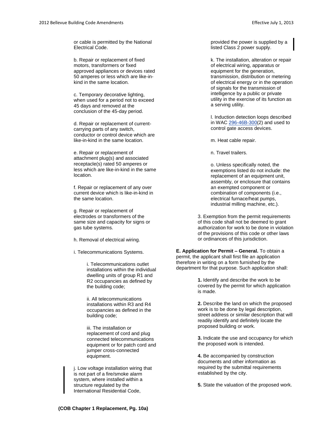or cable is permitted by the National Electrical Code.

b. Repair or replacement of fixed motors, transformers or fixed approved appliances or devices rated 50 amperes or less which are like-inkind in the same location.

c. Temporary decorative lighting, when used for a period not to exceed 45 days and removed at the conclusion of the 45-day period.

d. Repair or replacement of currentcarrying parts of any switch, conductor or control device which are like-in-kind in the same location.

e. Repair or replacement of attachment plug(s) and associated receptacle(s) rated 50 amperes or less which are like-in-kind in the same location.

f. Repair or replacement of any over current device which is like-in-kind in the same location.

g. Repair or replacement of electrodes or transformers of the same size and capacity for signs or gas tube systems.

h. Removal of electrical wiring.

i. Telecommunications Systems.

i. Telecommunications outlet installations within the individual dwelling units of group R1 and R2 occupancies as defined by the building code;

ii. All telecommunications installations within R3 and R4 occupancies as defined in the building code;

iii. The installation or replacement of cord and plug connected telecommunications equipment or for patch cord and jumper cross-connected equipment.

j. Low voltage installation wiring that is not part of a fire/smoke alarm system, where installed within a structure regulated by the International Residential Code,

provided the power is supplied by a listed Class 2 power supply.

k. The installation, alteration or repair of electrical wiring, apparatus or equipment for the generation, transmission, distribution or metering of electrical energy or in the operation of signals for the transmission of intelligence by a public or private utility in the exercise of its function as a serving utility.

l. Induction detection loops described in WA[C 296-46B-300\(](http://www.codepublishing.com/cgi-bin/wac.pl?cite=296-46B-300)2) and used to control gate access devices.

m. Heat cable repair.

n. Travel trailers.

o. Unless specifically noted, the exemptions listed do not include: the replacement of an equipment unit, assembly, or enclosure that contains an exempted component or combination of components (i.e., electrical furnace/heat pumps, industrial milling machine, etc.).

3. Exemption from the permit requirements of this code shall not be deemed to grant authorization for work to be done in violation of the provisions of this code or other laws or ordinances of this jurisdiction.

**E. Application for Permit – General.** To obtain a permit, the applicant shall first file an application therefore in writing on a form furnished by the department for that purpose. Such application shall:

> **1.** Identify and describe the work to be covered by the permit for which application is made.

**2.** Describe the land on which the proposed work is to be done by legal description, street address or similar description that will readily identify and definitely locate the proposed building or work.

**3.** Indicate the use and occupancy for which the proposed work is intended.

**4.** Be accompanied by construction documents and other information as required by the submittal requirements established by the city.

**5.** State the valuation of the proposed work.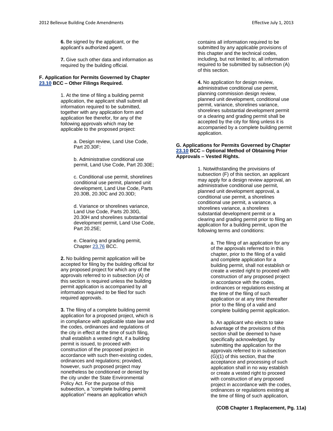**6.** Be signed by the applicant, or the applicant's authorized agent.

**7.** Give such other data and information as required by the building official.

## **F. Application for Permits Governed by Chapter [23.10](http://www.codepublishing.com/wa/bellevue/html/Bellevue23/Bellevue2310.html#23.10) BCC – Other Filings Required.**

1. At the time of filing a building permit application, the applicant shall submit all information required to be submitted, together with any application form and application fee therefor, for any of the following approvals which may be applicable to the proposed project:

> a. Design review, Land Use Code, Part 20.30F;

b. Administrative conditional use permit, Land Use Code, Part 20.30E;

c. Conditional use permit, shorelines conditional use permit, planned unit development, Land Use Code, Parts 20.30B, 20.30C and 20.30D;

d. Variance or shorelines variance, Land Use Code, Parts 20.30G, 20.30H and shorelines substantial development permit, Land Use Code, Part 20.25E;

e. Clearing and grading permit, Chapter [23.76](http://www.codepublishing.com/wa/bellevue/html/Bellevue23/Bellevue2376.html#23.76) BCC.

**2.** No building permit application will be accepted for filing by the building official for any proposed project for which any of the approvals referred to in subsection (A) of this section is required unless the building permit application is accompanied by all information required to be filed for such required approvals.

**3.** The filing of a complete building permit application for a proposed project, which is in compliance with applicable state law and the codes, ordinances and regulations of the city in effect at the time of such filing, shall establish a vested right, if a building permit is issued, to proceed with construction of the proposed project in accordance with such then-existing codes, ordinances and regulations; provided, however, such proposed project may nonetheless be conditioned or denied by the city under the State Environmental Policy Act. For the purpose of this subsection, a "complete building permit application" means an application which

contains all information required to be submitted by any applicable provisions of this chapter and the technical codes, including, but not limited to, all information required to be submitted by subsection (A) of this section.

**4.** No application for design review, administrative conditional use permit, planning commission design review, planned unit development, conditional use permit, variance, shorelines variance, shorelines substantial development permit or a clearing and grading permit shall be accepted by the city for filing unless it is accompanied by a complete building permit application.

## **G. Applications for Permits Governed by Chapter [23.10](http://www.codepublishing.com/wa/bellevue/html/Bellevue23/Bellevue2310.html#23.10) BCC – Optional Method of Obtaining Prior Approvals – Vested Rights.**

1. Notwithstanding the provisions of subsection (F) of this section, an applicant may apply for a design review approval, an administrative conditional use permit, planned unit development approval, a conditional use permit, a shorelines conditional use permit, a variance, a shorelines variance, a shorelines substantial development permit or a clearing and grading permit prior to filing an application for a building permit, upon the following terms and conditions:

> a. The filing of an application for any of the approvals referred to in this chapter, prior to the filing of a valid and complete application for a building permit, shall not establish or create a vested right to proceed with construction of any proposed project in accordance with the codes, ordinances or regulations existing at the time of the filing of such application or at any time thereafter prior to the filing of a valid and complete building permit application.

> b. An applicant who elects to take advantage of the provisions of this section shall be deemed to have specifically acknowledged, by submitting the application for the approvals referred to in subsection (G)(1) of this section, that the acceptance and processing of such application shall in no way establish or create a vested right to proceed with construction of any proposed project in accordance with the codes, ordinances or regulations existing at the time of filing of such application,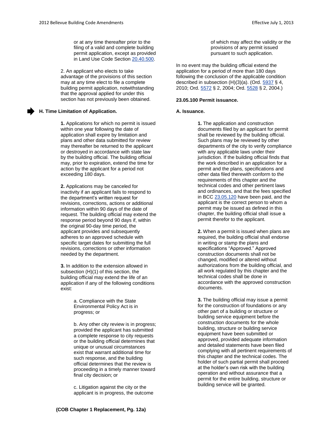or at any time thereafter prior to the filing of a valid and complete building permit application, except as provided in Land Use Code Sectio[n 20.40.500.](http://www.codepublishing.com/wa/bellevue/LUC/BellevueLUC2040.html#20.40.500)

2. An applicant who elects to take advantage of the provisions of this section may at any time elect to file a complete building permit application, notwithstanding that the approval applied for under this section has not previously been obtained.

## **H. Time Limitation of Application.**

**1.** Applications for which no permit is issued within one year following the date of application shall expire by limitation and plans and other data submitted for review may thereafter be returned to the applicant or destroyed in accordance with state law by the building official. The building official may, prior to expiration, extend the time for action by the applicant for a period not exceeding 180 days.

**2.** Applications may be canceled for inactivity if an applicant fails to respond to the department's written request for revisions, corrections, actions or additional information within 90 days of the date of request. The building official may extend the response period beyond 90 days if, within the original 90-day time period, the applicant provides and subsequently adheres to an approved schedule with specific target dates for submitting the full revisions, corrections or other information needed by the department.

**3.** In addition to the extension allowed in subsection (H)(1) of this section, the building official may extend the life of an application if any of the following conditions exist:

> a. Compliance with the State Environmental Policy Act is in progress; or

b. Any other city review is in progress; provided the applicant has submitted a complete response to city requests or the building official determines that unique or unusual circumstances exist that warrant additional time for such response, and the building official determines that the review is proceeding in a timely manner toward final city decision; or

c. Litigation against the city or the applicant is in progress, the outcome of which may affect the validity or the provisions of any permit issued pursuant to such application.

In no event may the building official extend the application for a period of more than 180 days following the conclusion of the applicable condition described in subsection  $(H)(3)(a)$ . (Ord.  $\frac{5937}{9}$  § 4, 2010; Ord. [5572](http://www.bellevuewa.gov/UserFiles/Servers/Server_4779004/file/Ordinances/Ord-5572.pdf) § 2, 2004; Ord. [5528](http://www.bellevuewa.gov/UserFiles/Servers/Server_4779004/file/Ordinances/Ord-5528.pdf) § 2, 2004.)

## **23.05.100 Permit issuance.**

#### **A. Issuance.**

**1.** The application and construction documents filed by an applicant for permit shall be reviewed by the building official. Such plans may be reviewed by other departments of the city to verify compliance with any applicable laws under their jurisdiction. If the building official finds that the work described in an application for a permit and the plans, specifications and other data filed therewith conform to the requirements of this chapter and the technical codes and other pertinent laws and ordinances, and that the fees specified in BC[C 23.05.120](http://www.codepublishing.com/wa/bellevue/html/Bellevue23/Bellevue2305.html#23.05.120) have been paid, and the applicant is the correct person to whom a permit may be issued as defined in this chapter, the building official shall issue a permit therefor to the applicant.

**2.** When a permit is issued when plans are required, the building official shall endorse in writing or stamp the plans and specifications "Approved." Approved construction documents shall not be changed, modified or altered without authorizations from the building official, and all work regulated by this chapter and the technical codes shall be done in accordance with the approved construction documents.

**3.** The building official may issue a permit for the construction of foundations or any other part of a building or structure or building service equipment before the construction documents for the whole building, structure or building service equipment have been submitted or approved, provided adequate information and detailed statements have been filed complying with all pertinent requirements of this chapter and the technical codes. The holder of such partial permit shall proceed at the holder's own risk with the building operation and without assurance that a permit for the entire building, structure or building service will be granted.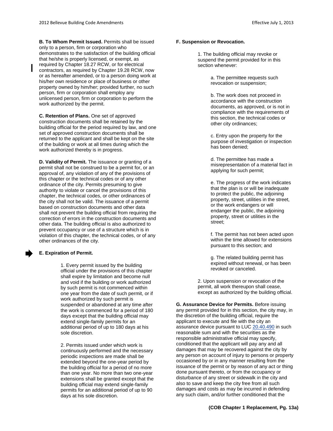**B. To Whom Permit Issued.** Permits shall be issued only to a person, firm or corporation who demonstrates to the satisfaction of the building official that he/she is properly licensed, or exempt, as required by Chapter 18.27 RCW, or for electrical contractors, as required by Chapter 19.28 RCW, now or as hereafter amended, or to a person doing work at his/her own residence or place of business or other property owned by him/her; provided further, no such person, firm or corporation shall employ any unlicensed person, firm or corporation to perform the work authorized by the permit.

**C. Retention of Plans.** One set of approved construction documents shall be retained by the building official for the period required by law, and one set of approved construction documents shall be returned to the applicant and shall be kept on the site of the building or work at all times during which the work authorized thereby is in progress.

**D. Validity of Permit.** The issuance or granting of a permit shall not be construed to be a permit for, or an approval of, any violation of any of the provisions of this chapter or the technical codes or of any other ordinance of the city. Permits presuming to give authority to violate or cancel the provisions of this chapter, the technical codes, or other ordinances of the city shall not be valid. The issuance of a permit based on construction documents and other data shall not prevent the building official from requiring the correction of errors in the construction documents and other data. The building official is also authorized to prevent occupancy or use of a structure which is in violation of this chapter, the technical codes, or of any other ordinances of the city.

# **E. Expiration of Permit.**

1. Every permit issued by the building official under the provisions of this chapter shall expire by limitation and become null and void if the building or work authorized by such permit is not commenced within one year from the date of such permit, or if work authorized by such permit is suspended or abandoned at any time after the work is commenced for a period of 180 days except that the building official may extend single-family permits for an additional period of up to 180 days at his sole discretion.

2. Permits issued under which work is continuously performed and the necessary periodic inspections are made shall be extended beyond the one-year period by the building official for a period of no more than one year. No more than two one-year extensions shall be granted except that the building official may extend single-family permits for an additional period of up to 90 days at his sole discretion.

# **F. Suspension or Revocation.**

1. The building official may revoke or suspend the permit provided for in this section whenever:

> a. The permittee requests such revocation or suspension;

b. The work does not proceed in accordance with the construction documents, as approved, or is not in compliance with the requirements of this section, the technical codes or other city ordinances;

c. Entry upon the property for the purpose of investigation or inspection has been denied;

d. The permittee has made a misrepresentation of a material fact in applying for such permit;

e. The progress of the work indicates that the plan is or will be inadequate to protect the public, the adjoining property, street, utilities in the street, or the work endangers or will endanger the public, the adjoining property, street or utilities in the street;

f. The permit has not been acted upon within the time allowed for extensions pursuant to this section; and

g. The related building permit has expired without renewal, or has been revoked or canceled.

2. Upon suspension or revocation of the permit, all work thereupon shall cease, except as authorized by the building official.

**G. Assurance Device for Permits.** Before issuing any permit provided for in this section, the city may, in the discretion of the building official, require the applicant to execute and file with the city an assurance device pursuant to LU[C 20.40.490](http://www.codepublishing.com/wa/bellevue/LUC/BellevueLUC2040.html#20.40.490) in such reasonable sum and with the securities as the responsible administrative official may specify, conditioned that the applicant will pay any and all damages that may be recovered against the city by any person on account of injury to persons or property occasioned by or in any manner resulting from the issuance of the permit or by reason of any act or thing done pursuant thereto, or from the occupancy or disturbance of any street or sidewalk in the city and also to save and keep the city free from all such damages and costs as may be incurred in defending any such claim, and/or further conditioned that the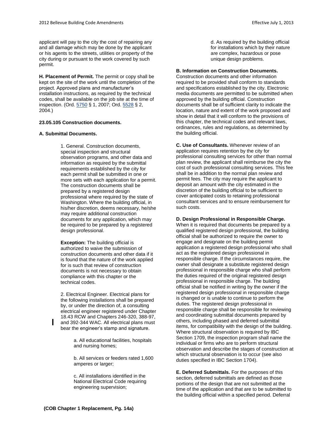applicant will pay to the city the cost of repairing any and all damage which may be done by the applicant or his agents to the streets, utilities or property of the city during or pursuant to the work covered by such permit.

**H. Placement of Permit.** The permit or copy shall be kept on the site of the work until the completion of the project. Approved plans and manufacturer's installation instructions, as required by the technical codes, shall be available on the job site at the time of inspection. (Ord[. 5750](http://www.bellevuewa.gov/UserFiles/Servers/Server_4779004/file/Ordinances/Ord-5750.pdf) § 1, 2007; Ord[. 5528](http://www.bellevuewa.gov/UserFiles/Servers/Server_4779004/file/Ordinances/Ord-5528.pdf) § 2, 2004.)

# **23.05.105 Construction documents.**

# **A. Submittal Documents.**

1. General. Construction documents, special inspection and structural observation programs, and other data and information as required by the submittal requirements established by the city for each permit shall be submitted in one or more sets with each application for a permit. The construction documents shall be prepared by a registered design professional where required by the state of Washington. Where the building official, in his/her discretion, deems necessary, he/she may require additional construction documents for any application, which may be required to be prepared by a registered design professional.

**Exception:** The building official is authorized to waive the submission of construction documents and other data if it is found that the nature of the work applied for is such that review of construction documents is not necessary to obtain compliance with this chapter or the technical codes.

2. Electrical Engineer. Electrical plans for the following installations shall be prepared by, or under the direction of, a consulting electrical engineer registered under Chapter 18.43 RCW and Chapters 246-320, 388-97, and 392-344 WAC. All electrical plans must bear the engineer's stamp and signature.

> a. All educational facilities, hospitals and nursing homes;

b. All services or feeders rated 1,600 amperes or larger;

c. All installations identified in the National Electrical Code requiring engineering supervision;

d. As required by the building official for installations which by their nature are complex, hazardous or pose unique design problems.

## **B. Information on Construction Documents.**

Construction documents and other information required to be provided shall conform to standards and specifications established by the city. Electronic media documents are permitted to be submitted when approved by the building official. Construction documents shall be of sufficient clarity to indicate the location, nature and extent of the work proposed and show in detail that it will conform to the provisions of this chapter, the technical codes and relevant laws, ordinances, rules and regulations, as determined by the building official.

**C. Use of Consultants.** Whenever review of an application requires retention by the city for professional consulting services for other than normal plan review, the applicant shall reimburse the city the cost of such professional consulting services. This fee shall be in addition to the normal plan review and permit fees. The city may require the applicant to deposit an amount with the city estimated in the discretion of the building official to be sufficient to cover anticipated costs to retaining professional consultant services and to ensure reimbursement for such costs.

# **D. Design Professional in Responsible Charge.**

When it is required that documents be prepared by a qualified registered design professional, the building official shall be authorized to require the owner to engage and designate on the building permit application a registered design professional who shall act as the registered design professional in responsible charge. If the circumstances require, the owner shall designate a substitute registered design professional in responsible charge who shall perform the duties required of the original registered design professional in responsible charge. The building official shall be notified in writing by the owner if the registered design professional in responsible charge is changed or is unable to continue to perform the duties. The registered design professional in responsible charge shall be responsible for reviewing and coordinating submittal documents prepared by others, including phased and deferred submittal items, for compatibility with the design of the building. Where structural observation is required by IBC Section 1709, the inspection program shall name the individual or firms who are to perform structural observation and describe the stages of construction at which structural observation is to occur (see also duties specified in IBC Section 1704).

**E. Deferred Submittals.** For the purposes of this section, deferred submittals are defined as those portions of the design that are not submitted at the time of the application and that are to be submitted to the building official within a specified period. Deferral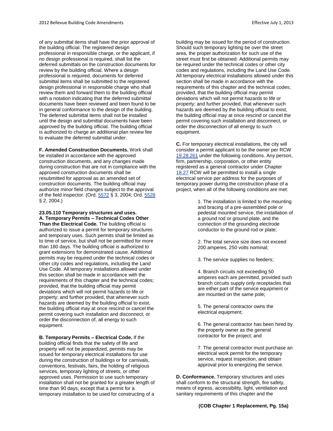of any submittal items shall have the prior approval of the building official. The registered design professional in responsible charge, or the applicant, if no design professional is required, shall list the deferred submittals on the construction documents for review by the building official. Where a design professional is required, documents for deferred submittal items shall be submitted to the registered design professional in responsible charge who shall review them and forward them to the building official with a notation indicating that the deferred submittal documents have been reviewed and been found to be in general conformance to the design of the building. The deferred submittal items shall not be installed until the design and submittal documents have been approved by the building official. The building official is authorized to charge an additional plan review fee to evaluate the deferred submittal under.

**F. Amended Construction Documents.** Work shall be installed in accordance with the approved construction documents, and any changes made during construction that are not in compliance with the approved construction documents shall be resubmitted for approval as an amended set of construction documents. The building official may authorize minor field changes subject to the approval of the field inspector. (Ord[. 5572](http://www.bellevuewa.gov/UserFiles/Servers/Server_4779004/file/Ordinances/Ord-5572.pdf) § 3, 2004; Ord[. 5528](http://www.bellevuewa.gov/UserFiles/Servers/Server_4779004/file/Ordinances/Ord-5528.pdf) § 2, 2004.)

**23.05.110 Temporary structures and uses. A. Temporary Permits – Technical Codes Other Than the Electrical Code.** The building official is authorized to issue a permit for temporary structures and temporary uses. Such permits shall be limited as to time of service, but shall not be permitted for more than 180 days. The building official is authorized to grant extensions for demonstrated cause. Additional permits may be required under the technical codes or other city codes and regulations, including the Land Use Code. All temporary installations allowed under this section shall be made in accordance with the requirements of this chapter and the technical codes; provided, that the building official may permit deviations which will not permit hazards to life or property; and further provided, that whenever such hazards are deemed by the building official to exist, the building official may at once rescind or cancel the permit covering such installation and disconnect, or order the disconnection of, all energy to such equipment.

**B. Temporary Permits – Electrical Code.** If the building official finds that the safety of life and property will not be jeopardized, permits may be issued for temporary electrical installations for use during the construction of buildings or for carnivals, conventions, festivals, fairs, the holding of religious services, temporary lighting of streets, or other approved uses. Permission to use such temporary installation shall not be granted for a greater length of time than 90 days, except that a permit for a temporary installation to be used for constructing of a

building may be issued for the period of construction. Should such temporary lighting be over the street area, the proper authorization for such use of the street must first be obtained. Additional permits may be required under the technical codes or other city codes and regulations, including the Land Use Code. All temporary electrical installations allowed under this section shall be made in accordance with the requirements of this chapter and the technical codes; provided, that the building official may permit deviations which will not permit hazards to life or property; and further provided, that whenever such hazards are deemed by the building official to exist, the building official may at once rescind or cancel the permit covering such installation and disconnect, or order the disconnection of all energy to such equipment.

**C.** For temporary electrical installations, the city will consider a permit applicant to be the owner per RCW [19.28.261](http://www.codepublishing.com/cgi-bin/rcw.pl?cite=19.28.261) under the following conditions. Any person, firm, partnership, corporation, or other entity registered as a general contractor under Chapter [18.27](http://www.codepublishing.com/cgi-bin/rcw.pl?cite=18.27) RCW will be permitted to install a single electrical service per address for the purposes of temporary power during the construction phase of a project, when all of the following conditions are met:

> 1. The installation is limited to the mounting and bracing of a pre-assembled pole or pedestal mounted service, the installation of a ground rod or ground plate, and the connection of the grounding electrode conductor to the ground rod or plate;

2. The total service size does not exceed 200 amperes, 250 volts nominal;

3. The service supplies no feeders;

4. Branch circuits not exceeding 50 amperes each are permitted, provided such branch circuits supply only receptacles that are either part of the service equipment or are mounted on the same pole;

5. The general contractor owns the electrical equipment;

6. The general contractor has been hired by the property owner as the general contractor for the project; and

7. The general contractor must purchase an electrical work permit for the temporary service, request inspection, and obtain approval prior to energizing the service.

**D. Conformance.** Temporary structures and uses shall conform to the structural strength, fire safety, means of egress, accessibility, light, ventilation and sanitary requirements of this chapter and the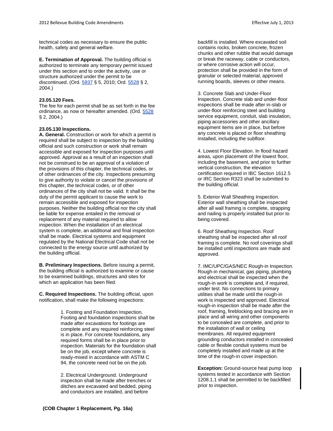technical codes as necessary to ensure the public health, safety and general welfare.

**E. Termination of Approval.** The building official is authorized to terminate any temporary permit issued under this section and to order the activity, use or structure authorized under the permit to be discontinued. (Ord[. 5937](http://www.bellevuewa.gov/UserFiles/Servers/Server_4779004/file/Ordinances/Ord-5937.pdf) § 5, 2010; Ord[. 5528](http://www.bellevuewa.gov/UserFiles/Servers/Server_4779004/file/Ordinances/Ord-5528.pdf) § 2, 2004.)

# **23.05.120 Fees.**

The fee for each permit shall be as set forth in the fee ordinance, as now or hereafter amended. (Ord. [5528](http://www.bellevuewa.gov/UserFiles/Servers/Server_4779004/file/Ordinances/Ord-5528.pdf) § 2, 2004.)

# **23.05.130 Inspections.**

**A. General.** Construction or work for which a permit is required shall be subject to inspection by the building official and such construction or work shall remain accessible and exposed for inspection purposes until approved. Approval as a result of an inspection shall not be construed to be an approval of a violation of the provisions of this chapter, the technical codes, or of other ordinances of the city. Inspections presuming to give authority to violate or cancel the provisions of this chapter, the technical codes, or of other ordinances of the city shall not be valid. It shall be the duty of the permit applicant to cause the work to remain accessible and exposed for inspection purposes. Neither the building official nor the city shall be liable for expense entailed in the removal or replacement of any material required to allow inspection. When the installation of an electrical system is complete, an additional and final inspection shall be made. Electrical systems and equipment regulated by the National Electrical Code shall not be connected to the energy source until authorized by the building official.

**B. Preliminary Inspections.** Before issuing a permit, the building official is authorized to examine or cause to be examined buildings, structures and sites for which an application has been filed.

**C. Required Inspections.** The building official, upon notification, shall make the following inspections:

> 1. Footing and Foundation Inspection. Footing and foundation inspections shall be made after excavations for footings are complete and any required reinforcing steel is in place. For concrete foundations, any required forms shall be in place prior to inspection. Materials for the foundation shall be on the job, except where concrete is ready-mixed in accordance with ASTM C 94, the concrete need not be on the job.

2. Electrical Underground. Underground inspection shall be made after trenches or ditches are excavated and bedded, piping and conductors are installed, and before

backfill is installed. Where excavated soil contains rocks, broken concrete, frozen chunks and other rubble that would damage or break the raceway, cable or conductors, or where corrosive action will occur, protection shall be provided in the form of granular or selected material, approved running boards, sleeves or other means.

3. Concrete Slab and Under-Floor Inspection. Concrete slab and under-floor inspections shall be made after in-slab or under-floor reinforcing steel and building service equipment, conduit, slab insulation, piping accessories and other ancillary equipment items are in place, but before any concrete is placed or floor sheathing installed, including the subfloor.

4. Lowest Floor Elevation. In flood hazard areas, upon placement of the lowest floor, including the basement, and prior to further vertical construction, the elevation certification required in IBC Section 1612.5 or IRC Section R323 shall be submitted to the building official.

5. Exterior Wall Sheathing Inspection. Exterior wall sheathing shall be inspected after all wall framing is complete, strapping and nailing is properly installed but prior to being covered.

6. Roof Sheathing Inspection. Roof sheathing shall be inspected after all roof framing is complete. No roof coverings shall be installed until inspections are made and approved.

7. IMC/UPC/GAS/NEC Rough-in Inspection. Rough-in mechanical, gas piping, plumbing and electrical shall be inspected when the rough-in work is complete and, if required, under test. No connections to primary utilities shall be made until the rough-in work is inspected and approved. Electrical rough-in inspection shall be made after the roof, framing, fireblocking and bracing are in place and all wiring and other components to be concealed are complete, and prior to the installation of wall or ceiling membranes. All required equipment grounding conductors installed in concealed cable or flexible conduit systems must be completely installed and made up at the time of the rough-in cover inspection.

**Exception:** Ground-source heat pump loop systems tested in accordance with Section 1208.1.1 shall be permitted to be backfilled prior to inspection.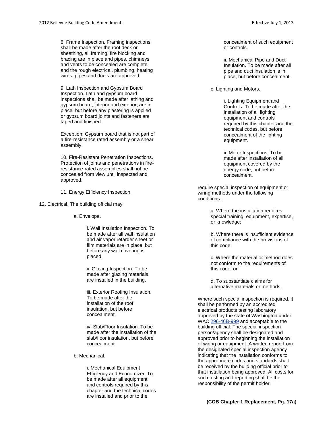8. Frame Inspection. Framing inspections shall be made after the roof deck or sheathing, all framing, fire blocking and bracing are in place and pipes, chimneys and vents to be concealed are complete and the rough electrical, plumbing, heating wires, pipes and ducts are approved.

9. Lath Inspection and Gypsum Board Inspection. Lath and gypsum board inspections shall be made after lathing and gypsum board, interior and exterior, are in place, but before any plastering is applied or gypsum board joints and fasteners are taped and finished.

Exception: Gypsum board that is not part of a fire-resistance rated assembly or a shear assembly.

10. Fire-Resistant Penetration Inspections. Protection of joints and penetrations in fireresistance-rated assemblies shall not be concealed from view until inspected and approved.

11. Energy Efficiency Inspection.

12. Electrical. The building official may

a. Envelope.

i. Wall Insulation Inspection. To be made after all wall insulation and air vapor retarder sheet or film materials are in place, but before any wall covering is placed.

ii. Glazing Inspection. To be made after glazing materials are installed in the building.

iii. Exterior Roofing Insulation. To be made after the installation of the roof insulation, but before concealment.

iv. Slab/Floor Insulation. To be made after the installation of the slab/floor insulation, but before concealment.

b. Mechanical.

i. Mechanical Equipment Efficiency and Economizer. To be made after all equipment and controls required by this chapter and the technical codes are installed and prior to the

concealment of such equipment or controls.

ii. Mechanical Pipe and Duct Insulation. To be made after all pipe and duct insulation is in place, but before concealment.

c. Lighting and Motors.

i. Lighting Equipment and Controls. To be made after the installation of all lighting equipment and controls required by this chapter and the technical codes, but before concealment of the lighting equipment.

ii. Motor Inspections. To be made after installation of all equipment covered by the energy code, but before concealment.

require special inspection of equipment or wiring methods under the following conditions:

> a. Where the installation requires special training, equipment, expertise, or knowledge;

> b. Where there is insufficient evidence of compliance with the provisions of this code;

c. Where the material or method does not conform to the requirements of this code; or

d. To substantiate claims for alternative materials or methods.

Where such special inspection is required, it shall be performed by an accredited electrical products testing laboratory approved by the state of Washington under WAC [296-46B-999](http://www.codepublishing.com/cgi-bin/wac.pl?cite=296-46B-999) and acceptable to the building official. The special inspection person/agency shall be designated and approved prior to beginning the installation of wiring or equipment. A written report from the designated special inspection agency indicating that the installation conforms to the appropriate codes and standards shall be received by the building official prior to that installation being approved. All costs for such testing and reporting shall be the responsibility of the permit holder.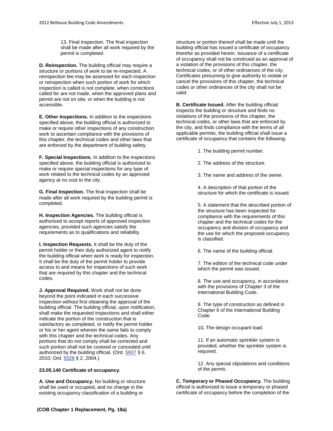13. Final Inspection. The final inspection shall be made after all work required by the permit is completed.

**D. Reinspection.** The building official may require a structure or portions of work to be re-inspected. A reinspection fee may be assessed for each inspection or reinspection when such portion of work for which inspection is called is not complete, when corrections called for are not made, when the approved plans and permit are not on site, or when the building is not accessible.

**E. Other Inspections.** In addition to the inspections specified above, the building official is authorized to make or require other inspections of any construction work to ascertain compliance with the provisions of this chapter, the technical codes and other laws that are enforced by the department of building safety.

**F. Special Inspections.** In addition to the inspections specified above, the building official is authorized to make or require special inspections for any type of work related to the technical codes by an approved agency at no cost to the city.

**G. Final Inspection.** The final inspection shall be made after all work required by the building permit is completed.

**H. Inspection Agencies.** The building official is authorized to accept reports of approved inspection agencies, provided such agencies satisfy the requirements as to qualifications and reliability.

**I. Inspection Requests.** It shall be the duty of the permit holder or their duly authorized agent to notify the building official when work is ready for inspection. It shall be the duty of the permit holder to provide access to and means for inspections of such work that are required by this chapter and the technical codes.

**J. Approval Required.** Work shall not be done beyond the point indicated in each successive inspection without first obtaining the approval of the building official. The building official, upon notification, shall make the requested inspections and shall either indicate the portion of the construction that is satisfactory as completed, or notify the permit holder or his or her agent wherein the same fails to comply with this chapter and the technical codes. Any portions that do not comply shall be corrected and such portion shall not be covered or concealed until authorized by the building official. (Ord[. 5937](http://www.bellevuewa.gov/UserFiles/Servers/Server_4779004/file/Ordinances/Ord-5937.pdf) § 6, 2010; Ord. [5528](http://www.bellevuewa.gov/UserFiles/Servers/Server_4779004/file/Ordinances/Ord-5528.pdf) § 2, 2004.)

# **23.05.140 Certificate of occupancy.**

**A. Use and Occupancy.** No building or structure shall be used or occupied, and no change in the existing occupancy classification of a building or

structure or portion thereof shall be made until the building official has issued a certificate of occupancy therefor as provided herein. Issuance of a certificate of occupancy shall not be construed as an approval of a violation of the provisions of this chapter, the technical codes, or of other ordinances of the city. Certificates presuming to give authority to violate or cancel the provisions of this chapter, the technical codes or other ordinances of the city shall not be valid.

**B. Certificate Issued.** After the building official inspects the building or structure and finds no violations of the provisions of this chapter, the technical codes, or other laws that are enforced by the city, and finds compliance with the terms of all applicable permits, the building official shall issue a certificate of occupancy that contains the following:

- 1. The building permit number.
- 2. The address of the structure.
- 3. The name and address of the owner.

4. A description of that portion of the structure for which the certificate is issued.

5. A statement that the described portion of the structure has been inspected for compliance with the requirements of this chapter and the technical codes for the occupancy and division of occupancy and the use for which the proposed occupancy is classified.

6. The name of the building official.

7. The edition of the technical code under which the permit was issued.

8. The use and occupancy, in accordance with the provisions of Chapter 3 of the International Building Code.

9. The type of construction as defined in Chapter 6 of the International Building Code.

10**.** The design occupant load.

11. If an automatic sprinkler system is provided, whether the sprinkler system is required.

12. Any special stipulations and conditions of the permit.

**C. Temporary or Phased Occupancy.** The building official is authorized to issue a temporary or phased certificate of occupancy before the completion of the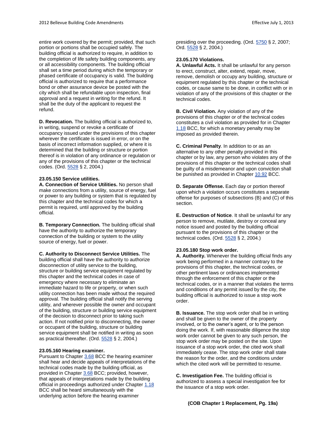entire work covered by the permit; provided, that such portion or portions shall be occupied safely. The building official is authorized to require, in addition to the completion of life safety building components, any or all accessibility components. The building official shall set a time period during which the temporary or phased certificate of occupancy is valid. The building official is authorized to require that a performance bond or other assurance device be posted with the city which shall be refundable upon inspection, final approval and a request in writing for the refund. It shall be the duty of the applicant to request the refund.

**D. Revocation.** The building official is authorized to, in writing, suspend or revoke a certificate of occupancy issued under the provisions of this chapter wherever the certificate is issued in error, or on the basis of incorrect information supplied, or where it is determined that the building or structure or portion thereof is in violation of any ordinance or regulation or any of the provisions of this chapter or the technical codes. (Ord. [5528](http://www.bellevuewa.gov/UserFiles/Servers/Server_4779004/file/Ordinances/Ord-5528.pdf) § 2, 2004.)

# **23.05.150 Service utilities.**

**A. Connection of Service Utilities.** No person shall make connections from a utility, source of energy, fuel or power to any building or system that is regulated by this chapter and the technical codes for which a permit is required, until approved by the building official.

**B. Temporary Connection.** The building official shall have the authority to authorize the temporary connection of the building or system to the utility source of energy, fuel or power.

**C. Authority to Disconnect Service Utilities.** The building official shall have the authority to authorize disconnection of utility service to the building, structure or building service equipment regulated by this chapter and the technical codes in case of emergency where necessary to eliminate an immediate hazard to life or property, or when such utility connection has been made without the required approval. The building official shall notify the serving utility, and wherever possible the owner and occupant of the building, structure or building service equipment of the decision to disconnect prior to taking such action. If not notified prior to disconnecting, the owner or occupant of the building, structure or building service equipment shall be notified in writing as soon as practical thereafter. (Ord[. 5528](http://www.bellevuewa.gov/UserFiles/Servers/Server_4779004/file/Ordinances/Ord-5528.pdf) § 2, 2004.)

# **23.05.160 Hearing examiner.**

Pursuant to Chapter [3.68](http://www.codepublishing.com/wa/bellevue/html/Bellevue03/Bellevue0368.html#3.68) BCC the hearing examiner shall hear and decide appeals of interpretations of the technical codes made by the building official, as provided in Chapter [3.68](http://www.codepublishing.com/wa/bellevue/html/Bellevue03/Bellevue0368.html#3.68) BCC; provided, however, that appeals of interpretations made by the building official in proceedings authorized under Chapte[r 1.18](http://www.codepublishing.com/wa/bellevue/html/Bellevue01/Bellevue0118.html#1.18) BCC shall be heard simultaneously with the underlying action before the hearing examiner

presiding over the proceeding. (Ord. [5750](http://www.bellevuewa.gov/UserFiles/Servers/Server_4779004/file/Ordinances/Ord-5750.pdf) § 2, 2007; Ord. [5528](http://www.bellevuewa.gov/UserFiles/Servers/Server_4779004/file/Ordinances/Ord-5528.pdf) § 2, 2004.)

# **23.05.170 Violations.**

**A. Unlawful Acts.** It shall be unlawful for any person to erect, construct, alter, extend, repair, move, remove, demolish or occupy any building, structure or equipment regulated by this chapter or the technical codes, or cause same to be done, in conflict with or in violation of any of the provisions of this chapter or the technical codes.

**B. Civil Violation.** Any violation of any of the provisions of this chapter or of the technical codes constitutes a civil violation as provided for in Chapter [1.18](http://www.codepublishing.com/wa/bellevue/html/Bellevue01/Bellevue0118.html#1.18) BCC, for which a monetary penalty may be imposed as provided therein.

**C. Criminal Penalty**. In addition to or as an alternative to any other penalty provided in this chapter or by law, any person who violates any of the provisions of this chapter or the technical codes shall be guilty of a misdemeanor and upon conviction shall be punished as provided in Chapte[r 10.92](http://www.codepublishing.com/wa/bellevue/html/Bellevue10/Bellevue1092.html#10.92) BCC.

**D. Separate Offense.** Each day or portion thereof upon which a violation occurs constitutes a separate offense for purposes of subsections (B) and (C) of this section.

**E. Destruction of Notice**. It shall be unlawful for any person to remove, mutilate, destroy or conceal any notice issued and posted by the building official pursuant to the provisions of this chapter or the technical codes. (Ord. [5528](http://www.bellevuewa.gov/UserFiles/Servers/Server_4779004/file/Ordinances/Ord-5528.pdf) § 2, 2004.)

# **23.05.180 Stop work order.**

**A. Authority.** Whenever the building official finds any work being performed in a manner contrary to the provisions of this chapter, the technical codes, or other pertinent laws or ordinances implemented through the enforcement of this chapter or the technical codes, or in a manner that violates the terms and conditions of any permit issued by the city, the building official is authorized to issue a stop work order.

**B. Issuance.** The stop work order shall be in writing and shall be given to the owner of the property involved, or to the owner's agent, or to the person doing the work. If, with reasonable diligence the stop work order cannot be given to any such person, the stop work order may be posted on the site. Upon issuance of a stop work order, the cited work shall immediately cease. The stop work order shall state the reason for the order, and the conditions under which the cited work will be permitted to resume.

**C. Investigation Fee.** The building official is authorized to assess a special investigation fee for the issuance of a stop work order.